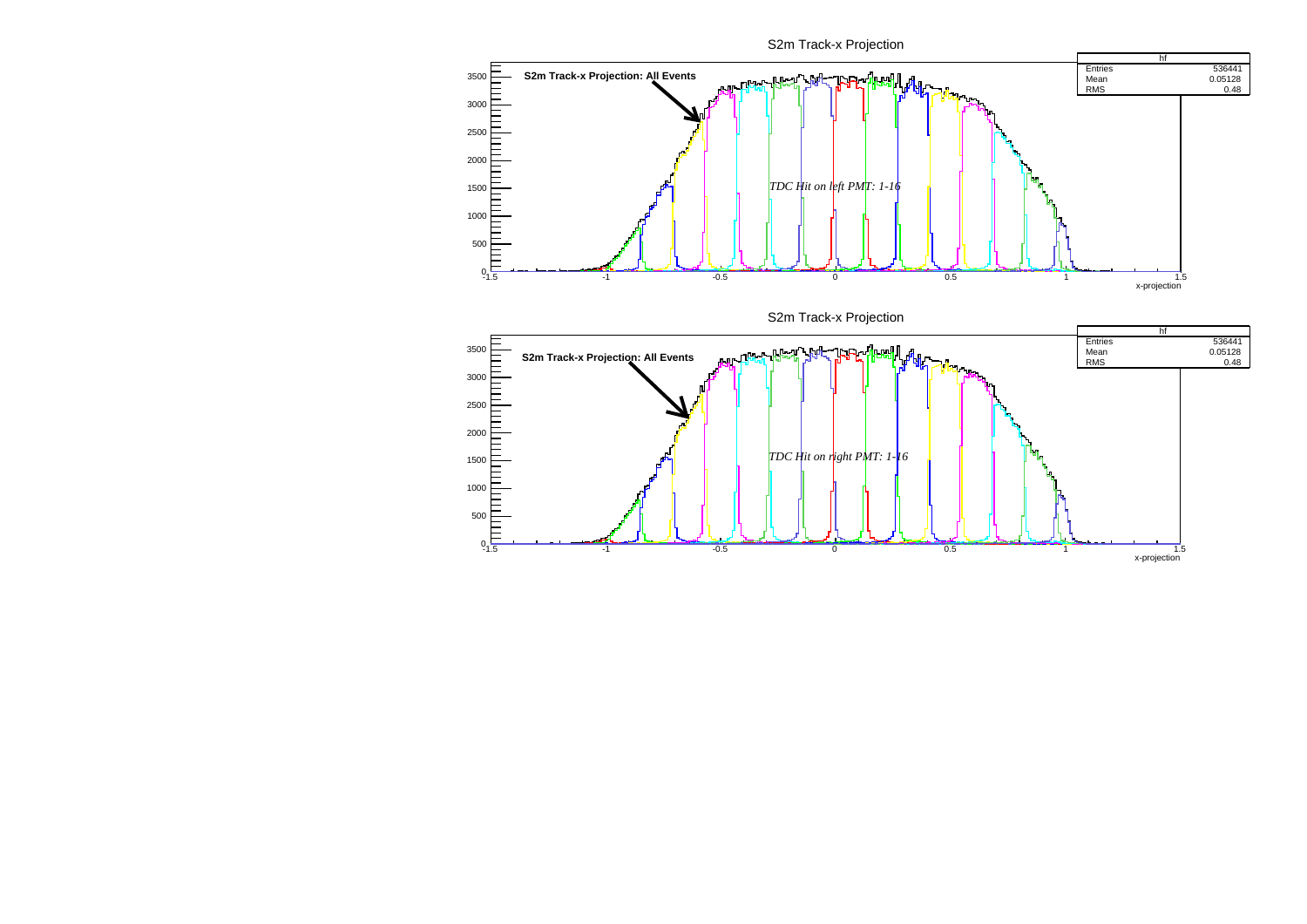S2m Track-x Projection

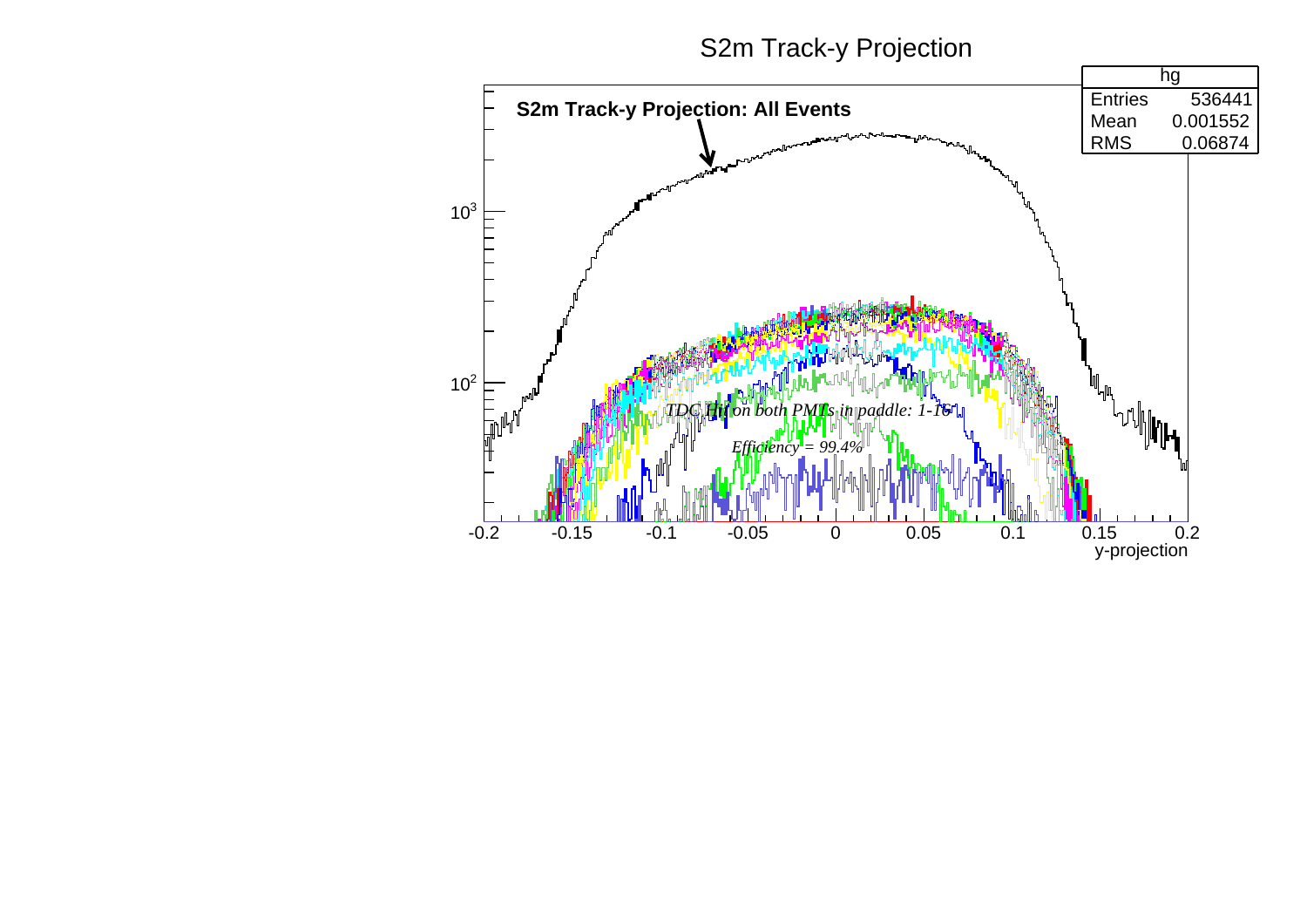S2m Track-y Projection

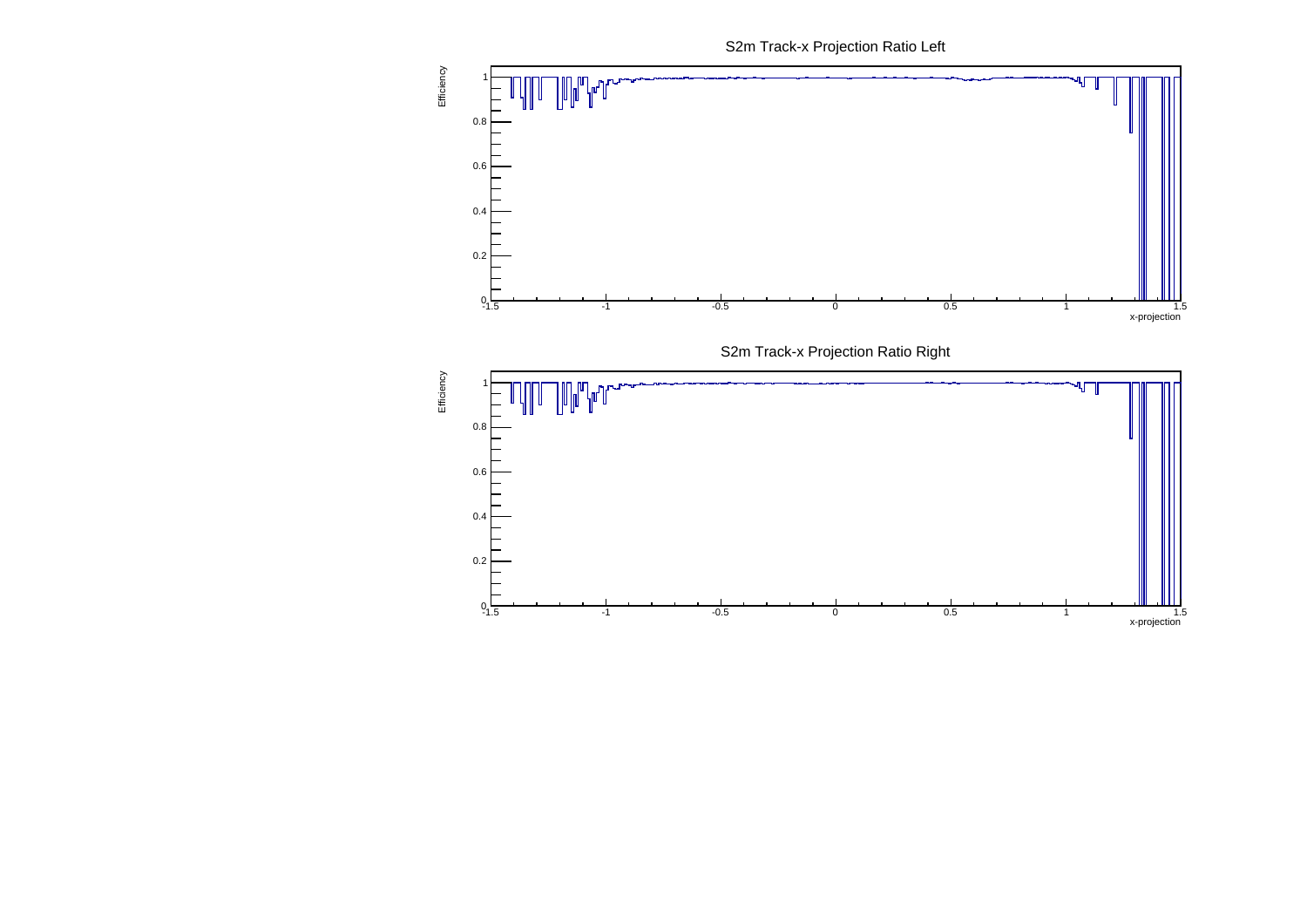S2m Track-x Projection Ratio Left

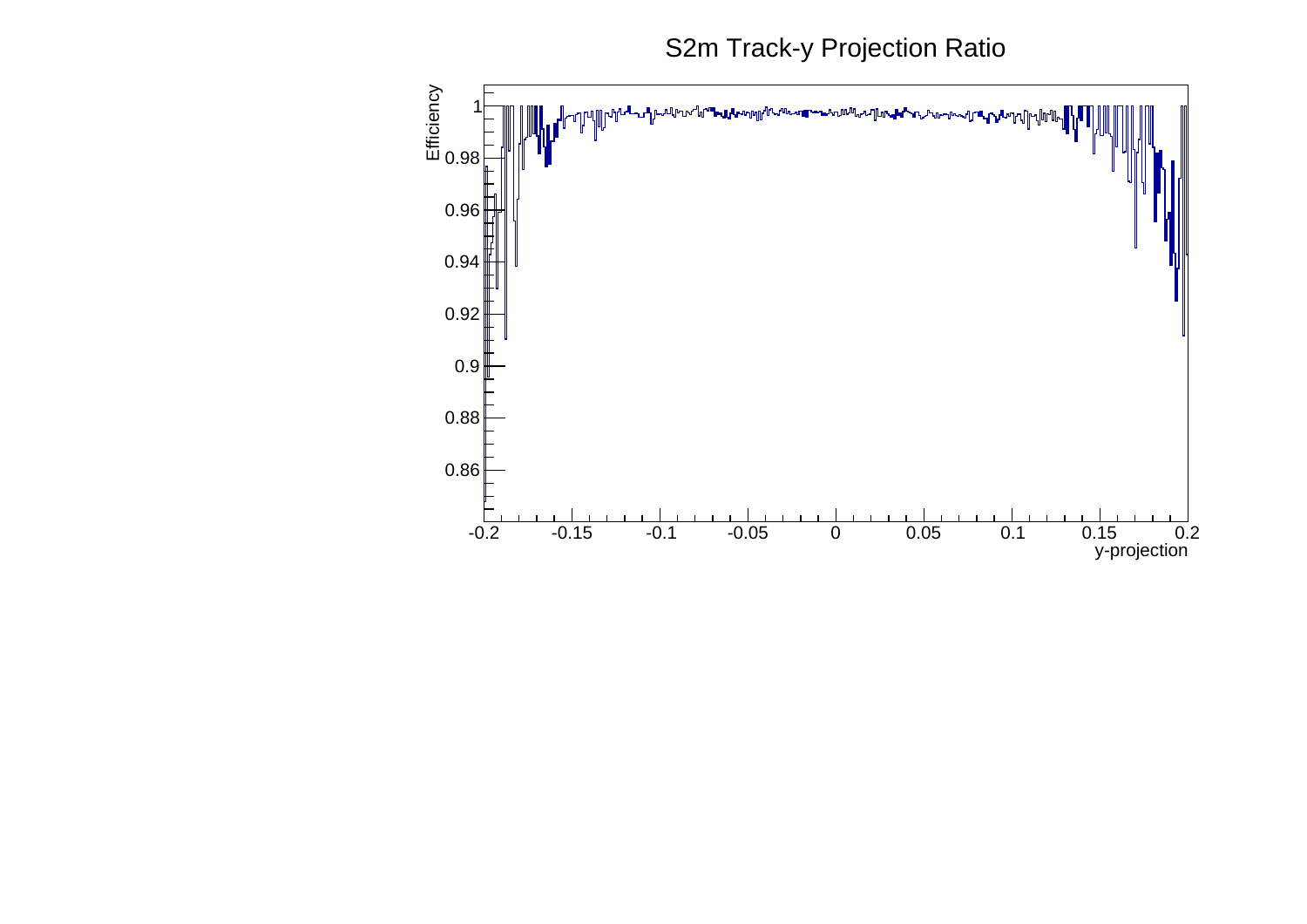S2m Track-y Projection Ratio